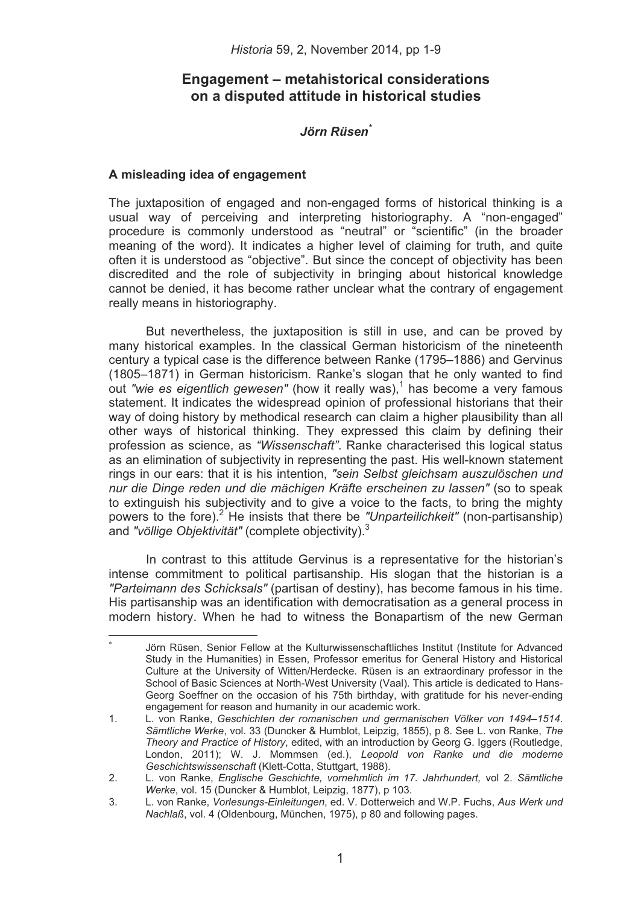# **Engagement – metahistorical considerations on a disputed attitude in historical studies**

## *-*

### **A misleading idea of engagement**

------------------------------------------------

The juxtaposition of engaged and non-engaged forms of historical thinking is a usual way of perceiving and interpreting historiography. A "non-engaged" procedure is commonly understood as "neutral" or "scientific" (in the broader meaning of the word). It indicates a higher level of claiming for truth, and quite often it is understood as "objective". But since the concept of objectivity has been discredited and the role of subjectivity in bringing about historical knowledge cannot be denied, it has become rather unclear what the contrary of engagement really means in historiography.

But nevertheless, the juxtaposition is still in use, and can be proved by many historical examples. In the classical German historicism of the nineteenth century a typical case is the difference between Ranke (1795–1886) and Gervinus (1805–1871) in German historicism. Ranke's slogan that he only wanted to find out "wie es eigentlich gewesen" (how it really was),<sup>1</sup> has become a very famous statement. It indicates the widespread opinion of professional historians that their way of doing history by methodical research can claim a higher plausibility than all other ways of historical thinking. They expressed this claim by defining their profession as science, as *"Wissenschaft"*. Ranke characterised this logical status as an elimination of subjectivity in representing the past. His well-known statement rings in our ears: that it is his intention, *"sein Selbst gleichsam auszulöschen und nur die Dinge reden und die mächigen Kräfte erscheinen zu lassen"* (so to speak to extinguish his subjectivity and to give a voice to the facts, to bring the mighty powers to the fore).<sup>2</sup> He insists that there be "Unparteilichkeit" (non-partisanship) and *"völlige Objektivität"* (complete objectivity).3

In contrast to this attitude Gervinus is a representative for the historian's intense commitment to political partisanship. His slogan that the historian is a *"Parteimann des Schicksals"* (partisan of destiny), has become famous in his time. His partisanship was an identification with democratisation as a general process in modern history. When he had to witness the Bonapartism of the new German

<sup>8</sup>  Jörn Rüsen, Senior Fellow at the Kulturwissenschaftliches Institut (Institute for Advanced Study in the Humanities) in Essen, Professor emeritus for General History and Historical Culture at the University of Witten/Herdecke. Rüsen is an extraordinary professor in the School of Basic Sciences at North-West University (Vaal). This article is dedicated to Hans-Georg Soeffner on the occasion of his 75th birthday, with gratitude for his never-ending engagement for reason and humanity in our academic work.

<sup>1.</sup> L. von Ranke, *Geschichten der romanischen und germanischen Völker von 1494–1514*. *Sämtliche Werke*, vol. 33 (Duncker & Humblot, Leipzig, 1855), p 8. See L. von Ranke, *The Theory and Practice of History*, edited, with an introduction by Georg G. Iggers (Routledge, London, 2011); W. J. Mommsen (ed.), *Leopold von Ranke und die moderne Geschichtswissenschaft* (Klett-Cotta, Stuttgart, 1988).

<sup>2.</sup> L. von Ranke, *Englische Geschichte, vornehmlich im 17. Jahrhundert,* vol 2. *Sämtliche Werke*, vol. 15 (Duncker & Humblot, Leipzig, 1877), p 103.

<sup>3.</sup> L. von Ranke, *Vorlesungs-Einleitungen*, ed. V. Dotterweich and W.P. Fuchs, *Aus Werk und Nachlaß*, vol. 4 (Oldenbourg, München, 1975), p 80 and following pages.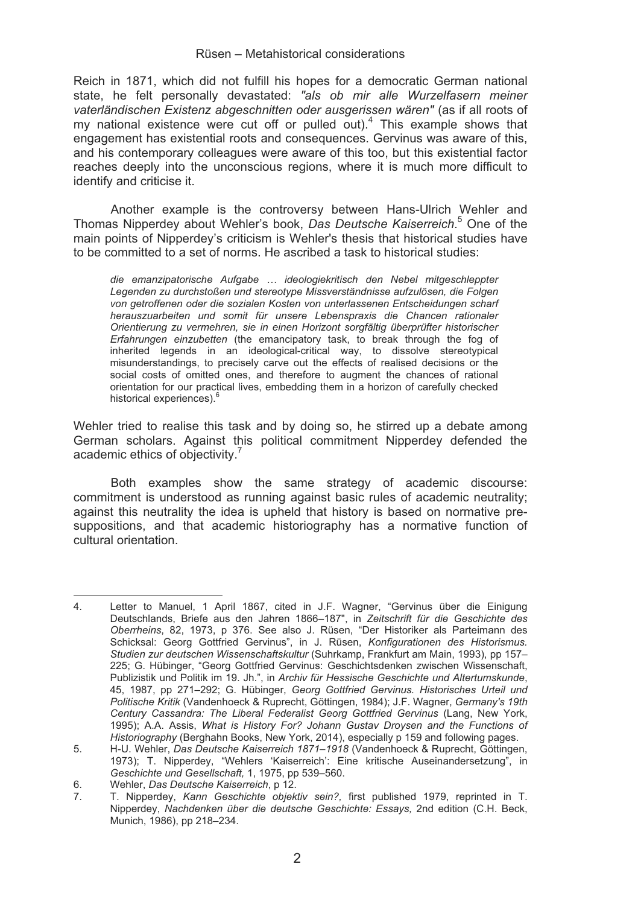Reich in 1871, which did not fulfill his hopes for a democratic German national state, he felt personally devastated: *"als ob mir alle Wurzelfasern meiner vaterländischen Existenz abgeschnitten oder ausgerissen wären"* (as if all roots of my national existence were cut off or pulled out). $<sup>4</sup>$  This example shows that</sup> engagement has existential roots and consequences. Gervinus was aware of this, and his contemporary colleagues were aware of this too, but this existential factor reaches deeply into the unconscious regions, where it is much more difficult to identify and criticise it.

Another example is the controversy between Hans-Ulrich Wehler and Thomas Nipperdey about Wehler's book, *Das Deutsche Kaiserreich*. 5 One of the main points of Nipperdey's criticism is Wehler's thesis that historical studies have to be committed to a set of norms. He ascribed a task to historical studies:

*die emanzipatorische Aufgabe … ideologiekritisch den Nebel mitgeschleppter Legenden zu durchstoßen und stereotype Missverständnisse aufzulösen, die Folgen von getroffenen oder die sozialen Kosten von unterlassenen Entscheidungen scharf herauszuarbeiten und somit für unsere Lebenspraxis die Chancen rationaler Orientierung zu vermehren, sie in einen Horizont sorgfältig überprüfter historischer Erfahrungen einzubetten* (the emancipatory task, to break through the fog of inherited legends in an ideological-critical way, to dissolve stereotypical misunderstandings, to precisely carve out the effects of realised decisions or the social costs of omitted ones, and therefore to augment the chances of rational orientation for our practical lives, embedding them in a horizon of carefully checked historical experiences).<sup>6</sup>

Wehler tried to realise this task and by doing so, he stirred up a debate among German scholars. Against this political commitment Nipperdey defended the academic ethics of objectivity.<sup>7</sup>

Both examples show the same strategy of academic discourse: commitment is understood as running against basic rules of academic neutrality; against this neutrality the idea is upheld that history is based on normative presuppositions, and that academic historiography has a normative function of cultural orientation.

------------------------------------------------

4. Letter to Manuel, 1 April 1867, cited in J.F. Wagner, "Gervinus über die Einigung Deutschlands, Briefe aus den Jahren 1866–187", in *Zeitschrift für die Geschichte des Oberrheins*, 82, 1973, p 376. See also J. Rüsen, "Der Historiker als Parteimann des Schicksal: Georg Gottfried Gervinus", in J. Rüsen, *Konfigurationen des Historismus. Studien zur deutschen Wissenschaftskultur* (Suhrkamp, Frankfurt am Main, 1993), pp 157– 225; G. Hübinger, "Georg Gottfried Gervinus: Geschichtsdenken zwischen Wissenschaft, Publizistik und Politik im 19. Jh.", in *Archiv für Hessische Geschichte und Altertumskunde*, 45, 1987, pp 271–292; G. Hübinger, *Georg Gottfried Gervinus. Historisches Urteil und Politische Kritik* (Vandenhoeck & Ruprecht, Göttingen, 1984); J.F. Wagner, *Germany's 19th Century Cassandra: The Liberal Federalist Georg Gottfried Gervinus* (Lang, New York, 1995); A.A. Assis, *What is History For? Johann Gustav Droysen and the Functions of Historiography* (Berghahn Books, New York, 2014), especially p 159 and following pages.

<sup>5.</sup> H-U. Wehler, *Das Deutsche Kaiserreich 1871–1918* (Vandenhoeck & Ruprecht, Göttingen, 1973); T. Nipperdey, "Wehlers 'Kaiserreich': Eine kritische Auseinandersetzung", in *Geschichte und Gesellschaft,* 1, 1975, pp 539–560.

<sup>6.</sup> Wehler, *Das Deutsche Kaiserreich*, p 12.

<sup>7.</sup> T. Nipperdey, *Kann Geschichte objektiv sein?,* first published 1979, reprinted in T. Nipperdey, *Nachdenken über die deutsche Geschichte: Essays,* 2nd edition (C.H. Beck, Munich, 1986), pp 218–234.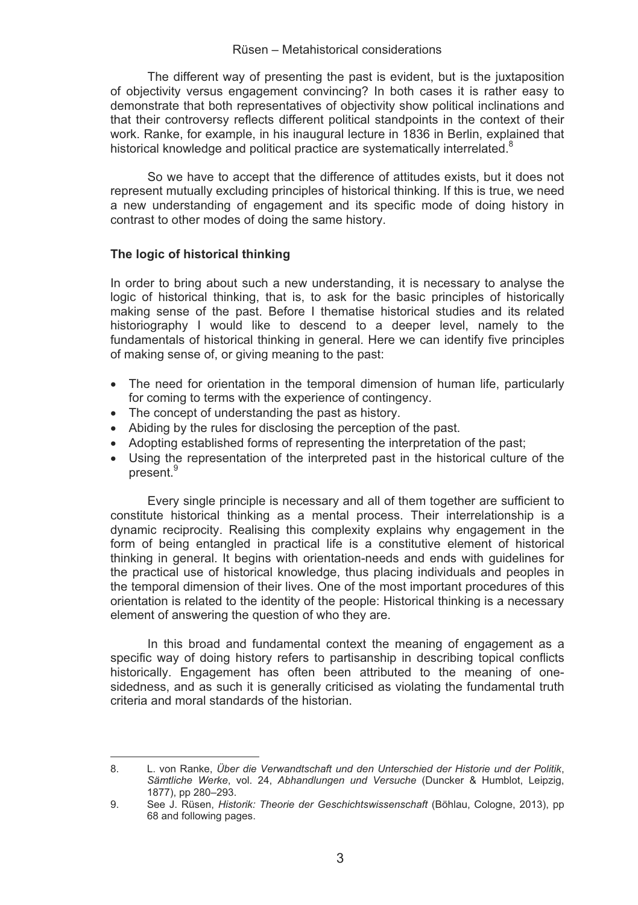The different way of presenting the past is evident, but is the juxtaposition of objectivity versus engagement convincing? In both cases it is rather easy to demonstrate that both representatives of objectivity show political inclinations and that their controversy reflects different political standpoints in the context of their work. Ranke, for example, in his inaugural lecture in 1836 in Berlin, explained that historical knowledge and political practice are systematically interrelated.<sup>8</sup>

So we have to accept that the difference of attitudes exists, but it does not represent mutually excluding principles of historical thinking. If this is true, we need a new understanding of engagement and its specific mode of doing history in contrast to other modes of doing the same history.

#### **The logic of historical thinking**

-------------------------------------------------

In order to bring about such a new understanding, it is necessary to analyse the logic of historical thinking, that is, to ask for the basic principles of historically making sense of the past. Before I thematise historical studies and its related historiography I would like to descend to a deeper level, namely to the fundamentals of historical thinking in general. Here we can identify five principles of making sense of, or giving meaning to the past:

- The need for orientation in the temporal dimension of human life, particularly for coming to terms with the experience of contingency.
- The concept of understanding the past as history.
- Abiding by the rules for disclosing the perception of the past.
- Adopting established forms of representing the interpretation of the past;
- Using the representation of the interpreted past in the historical culture of the present.<sup>9</sup>

Every single principle is necessary and all of them together are sufficient to constitute historical thinking as a mental process. Their interrelationship is a dynamic reciprocity. Realising this complexity explains why engagement in the form of being entangled in practical life is a constitutive element of historical thinking in general. It begins with orientation-needs and ends with guidelines for the practical use of historical knowledge, thus placing individuals and peoples in the temporal dimension of their lives. One of the most important procedures of this orientation is related to the identity of the people: Historical thinking is a necessary element of answering the question of who they are.

In this broad and fundamental context the meaning of engagement as a specific way of doing history refers to partisanship in describing topical conflicts historically. Engagement has often been attributed to the meaning of onesidedness, and as such it is generally criticised as violating the fundamental truth criteria and moral standards of the historian.

<sup>8.</sup> L. von Ranke, *Über die Verwandtschaft und den Unterschied der Historie und der Politik*, *Sämtliche Werke*, vol. 24, *Abhandlungen und Versuche* (Duncker & Humblot, Leipzig, 1877), pp 280–293.

<sup>9.</sup> See J. Rüsen, *Historik: Theorie der Geschichtswissenschaft* (Böhlau, Cologne, 2013), pp 68 and following pages.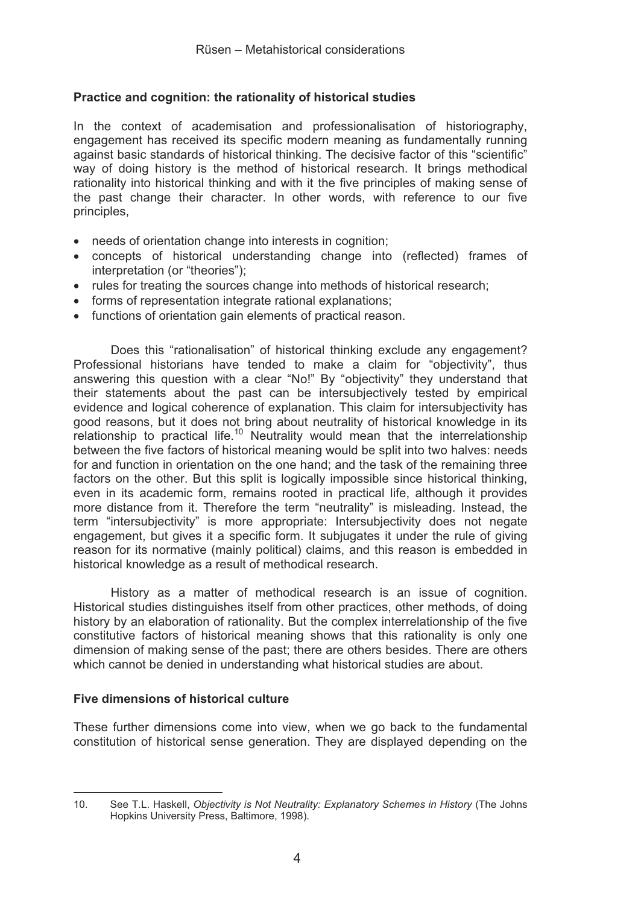## **Practice and cognition: the rationality of historical studies**

In the context of academisation and professionalisation of historiography, engagement has received its specific modern meaning as fundamentally running against basic standards of historical thinking. The decisive factor of this "scientific" way of doing history is the method of historical research. It brings methodical rationality into historical thinking and with it the five principles of making sense of the past change their character. In other words, with reference to our five principles,

- needs of orientation change into interests in cognition;
- concepts of historical understanding change into (reflected) frames of interpretation (or "theories");
- rules for treating the sources change into methods of historical research;
- forms of representation integrate rational explanations;
- functions of orientation gain elements of practical reason.

Does this "rationalisation" of historical thinking exclude any engagement? Professional historians have tended to make a claim for "objectivity", thus answering this question with a clear "No!" By "objectivity" they understand that their statements about the past can be intersubjectively tested by empirical evidence and logical coherence of explanation. This claim for intersubjectivity has good reasons, but it does not bring about neutrality of historical knowledge in its relationship to practical life.<sup>10</sup> Neutrality would mean that the interrelationship between the five factors of historical meaning would be split into two halves: needs for and function in orientation on the one hand; and the task of the remaining three factors on the other. But this split is logically impossible since historical thinking. even in its academic form, remains rooted in practical life, although it provides more distance from it. Therefore the term "neutrality" is misleading. Instead, the term "intersubjectivity" is more appropriate: Intersubjectivity does not negate engagement, but gives it a specific form. It subjugates it under the rule of giving reason for its normative (mainly political) claims, and this reason is embedded in historical knowledge as a result of methodical research.

History as a matter of methodical research is an issue of cognition. Historical studies distinguishes itself from other practices, other methods, of doing history by an elaboration of rationality. But the complex interrelationship of the five constitutive factors of historical meaning shows that this rationality is only one dimension of making sense of the past; there are others besides. There are others which cannot be denied in understanding what historical studies are about.

### **Five dimensions of historical culture**

------------------------------------------------

These further dimensions come into view, when we go back to the fundamental constitution of historical sense generation. They are displayed depending on the

10. See T.L. Haskell, *Objectivity is Not Neutrality: Explanatory Schemes in History* (The Johns Hopkins University Press, Baltimore, 1998).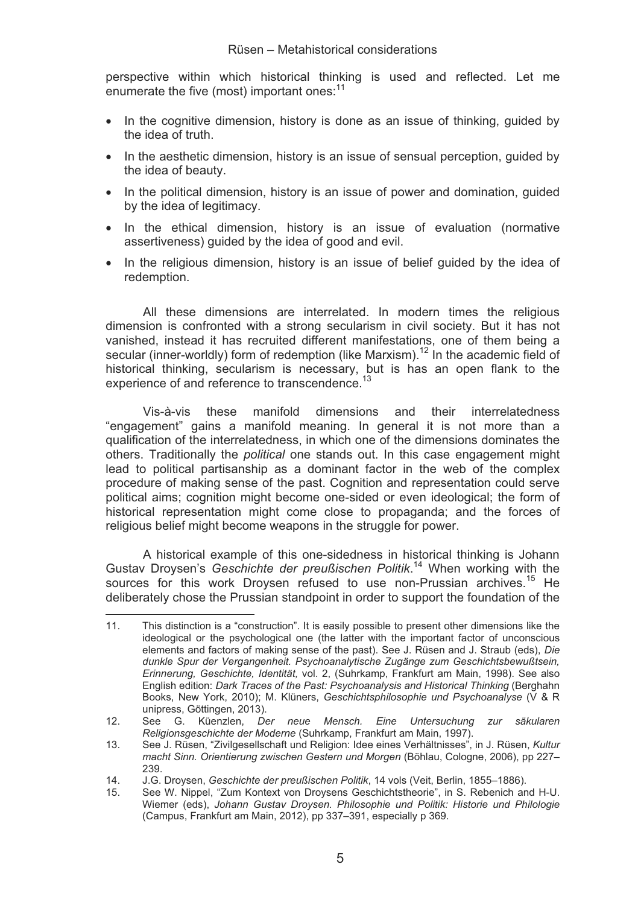perspective within which historical thinking is used and reflected. Let me enumerate the five (most) important ones:<sup>11</sup>

- In the cognitive dimension, history is done as an issue of thinking, guided by the idea of truth.
- In the aesthetic dimension, history is an issue of sensual perception, guided by the idea of beauty.
- In the political dimension, history is an issue of power and domination, guided by the idea of legitimacy.
- In the ethical dimension, history is an issue of evaluation (normative assertiveness) guided by the idea of good and evil.
- In the religious dimension, history is an issue of belief guided by the idea of redemption.

All these dimensions are interrelated. In modern times the religious dimension is confronted with a strong secularism in civil society. But it has not vanished, instead it has recruited different manifestations, one of them being a secular (inner-worldly) form of redemption (like Marxism).<sup>12</sup> In the academic field of historical thinking, secularism is necessary, but is has an open flank to the experience of and reference to transcendence.<sup>13</sup>

Vis-à-vis these manifold dimensions and their interrelatedness "engagement" gains a manifold meaning. In general it is not more than a qualification of the interrelatedness, in which one of the dimensions dominates the others. Traditionally the *political* one stands out. In this case engagement might lead to political partisanship as a dominant factor in the web of the complex procedure of making sense of the past. Cognition and representation could serve political aims; cognition might become one-sided or even ideological; the form of historical representation might come close to propaganda; and the forces of religious belief might become weapons in the struggle for power.

A historical example of this one-sidedness in historical thinking is Johann Gustav Droysen's *Geschichte der preußischen Politik*. 14 When working with the sources for this work Droysen refused to use non-Prussian archives.<sup>15</sup> He deliberately chose the Prussian standpoint in order to support the foundation of the

-------------------------------------------------

11. This distinction is a "construction". It is easily possible to present other dimensions like the ideological or the psychological one (the latter with the important factor of unconscious elements and factors of making sense of the past). See J. Rüsen and J. Straub (eds), *Die dunkle Spur der Vergangenheit. Psychoanalytische Zugänge zum Geschichtsbewußtsein, Erinnerung, Geschichte, Identität,* vol. 2, (Suhrkamp, Frankfurt am Main, 1998). See also English edition: *Dark Traces of the Past: Psychoanalysis and Historical Thinking* (Berghahn Books, New York, 2010); M. Klüners, *Geschichtsphilosophie und Psychoanalyse* (V & R unipress, Göttingen, 2013).

<sup>12.</sup> See G. Küenzlen, *Der neue Mensch. Eine Untersuchung zur säkularen Religionsgeschichte der Moderne* (Suhrkamp, Frankfurt am Main, 1997).

<sup>13.</sup> See J. Rüsen, "Zivilgesellschaft und Religion: Idee eines Verhältnisses", in J. Rüsen, *Kultur macht Sinn. Orientierung zwischen Gestern und Morgen* (Böhlau, Cologne, 2006), pp 227– 239.

<sup>14.</sup> J.G. Droysen, *Geschichte der preußischen Politik*, 14 vols (Veit, Berlin, 1855–1886).

<sup>15.</sup> See W. Nippel, "Zum Kontext von Droysens Geschichtstheorie", in S. Rebenich and H-U. Wiemer (eds), *Johann Gustav Droysen. Philosophie und Politik: Historie und Philologie* (Campus, Frankfurt am Main, 2012), pp 337–391, especially p 369.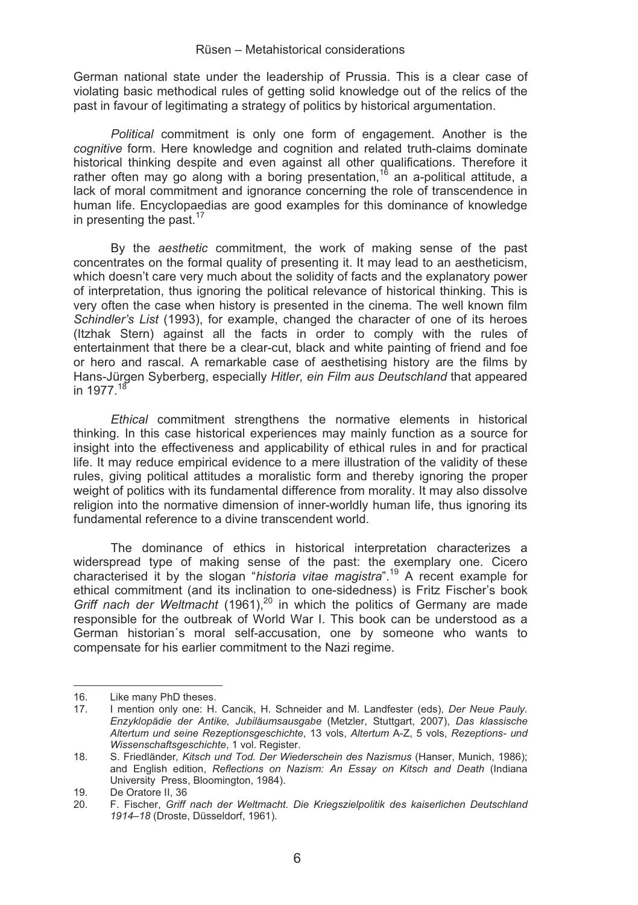German national state under the leadership of Prussia. This is a clear case of violating basic methodical rules of getting solid knowledge out of the relics of the past in favour of legitimating a strategy of politics by historical argumentation.

*Political* commitment is only one form of engagement. Another is the *cognitive* form. Here knowledge and cognition and related truth-claims dominate historical thinking despite and even against all other qualifications. Therefore it rather often may go along with a boring presentation,<sup>16</sup> an a-political attitude, a lack of moral commitment and ignorance concerning the role of transcendence in human life. Encyclopaedias are good examples for this dominance of knowledge in presenting the past. $17$ 

By the *aesthetic* commitment, the work of making sense of the past concentrates on the formal quality of presenting it. It may lead to an aestheticism, which doesn't care very much about the solidity of facts and the explanatory power of interpretation, thus ignoring the political relevance of historical thinking. This is very often the case when history is presented in the cinema. The well known film *Schindler's List* (1993), for example, changed the character of one of its heroes (Itzhak Stern) against all the facts in order to comply with the rules of entertainment that there be a clear-cut, black and white painting of friend and foe or hero and rascal. A remarkable case of aesthetising history are the films by Hans-Jürgen Syberberg, especially *Hitler, ein Film aus Deutschland* that appeared in 1977.<sup>18</sup>

*Ethical* commitment strengthens the normative elements in historical thinking. In this case historical experiences may mainly function as a source for insight into the effectiveness and applicability of ethical rules in and for practical life. It may reduce empirical evidence to a mere illustration of the validity of these rules, giving political attitudes a moralistic form and thereby ignoring the proper weight of politics with its fundamental difference from morality. It may also dissolve religion into the normative dimension of inner-worldly human life, thus ignoring its fundamental reference to a divine transcendent world.

The dominance of ethics in historical interpretation characterizes a widerspread type of making sense of the past: the exemplary one. Cicero characterised it by the slogan "*historia vitae magistra*".19 A recent example for ethical commitment (and its inclination to one-sidedness) is Fritz Fischer's book *Griff nach der Weltmacht* (1961),20 in which the politics of Germany are made responsible for the outbreak of World War I. This book can be understood as a German historian´s moral self-accusation, one by someone who wants to compensate for his earlier commitment to the Nazi regime.

---------------------

-------------------

<sup>-</sup>-------16. Like many PhD theses.<br>17. I mention only one: H.

<sup>17.</sup> I mention only one: H. Cancik, H. Schneider and M. Landfester (eds), *Der Neue Pauly. Enzyklopädie der Antike, Jubiläumsausgabe* (Metzler, Stuttgart, 2007), *Das klassische Altertum und seine Rezeptionsgeschichte*, 13 vols, *Altertum* A-Z, 5 vols, *Rezeptions- und Wissenschaftsgeschichte*, 1 vol. Register.

<sup>18.</sup> S. Friedländer*, Kitsch und Tod. Der Wiederschein des Nazismus* (Hanser, Munich, 1986); and English edition, *Reflections on Nazism: An Essay on Kitsch and Death* (Indiana University Press, Bloomington, 1984).

<sup>19.</sup> De Oratore II, 36<br>20. F. Fischer. Griff

<sup>20.</sup> F. Fischer, *Griff nach der Weltmacht. Die Kriegszielpolitik des kaiserlichen Deutschland 1914–18* (Droste, Düsseldorf, 1961).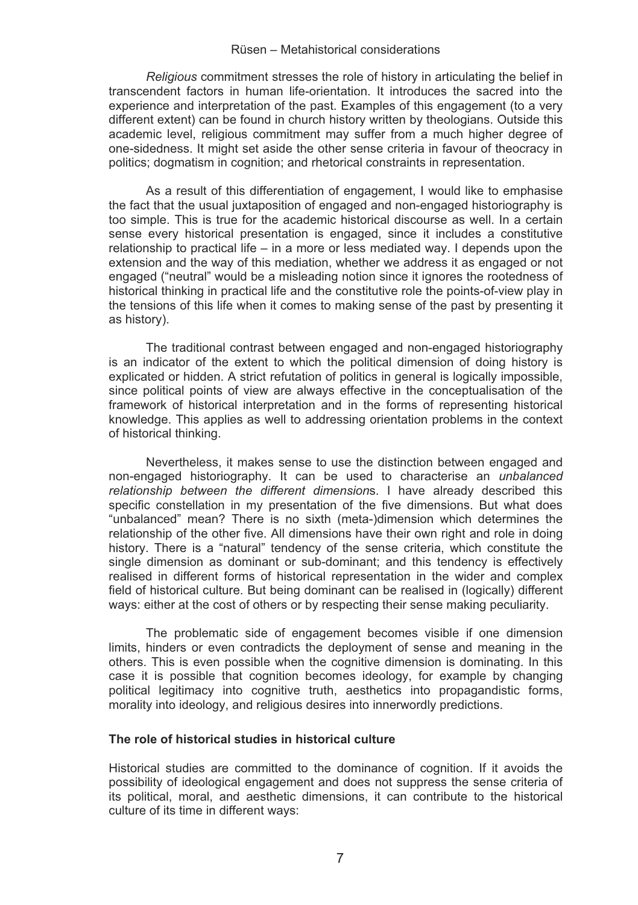*Religious* commitment stresses the role of history in articulating the belief in transcendent factors in human life-orientation. It introduces the sacred into the experience and interpretation of the past. Examples of this engagement (to a very different extent) can be found in church history written by theologians. Outside this academic level, religious commitment may suffer from a much higher degree of one-sidedness. It might set aside the other sense criteria in favour of theocracy in politics; dogmatism in cognition; and rhetorical constraints in representation.

As a result of this differentiation of engagement, I would like to emphasise the fact that the usual juxtaposition of engaged and non-engaged historiography is too simple. This is true for the academic historical discourse as well. In a certain sense every historical presentation is engaged, since it includes a constitutive relationship to practical life – in a more or less mediated way. I depends upon the extension and the way of this mediation, whether we address it as engaged or not engaged ("neutral" would be a misleading notion since it ignores the rootedness of historical thinking in practical life and the constitutive role the points-of-view play in the tensions of this life when it comes to making sense of the past by presenting it as history).

The traditional contrast between engaged and non-engaged historiography is an indicator of the extent to which the political dimension of doing history is explicated or hidden. A strict refutation of politics in general is logically impossible, since political points of view are always effective in the conceptualisation of the framework of historical interpretation and in the forms of representing historical knowledge. This applies as well to addressing orientation problems in the context of historical thinking.

Nevertheless, it makes sense to use the distinction between engaged and non-engaged historiography. It can be used to characterise an *unbalanced relationship between the different dimension*s. I have already described this specific constellation in my presentation of the five dimensions. But what does "unbalanced" mean? There is no sixth (meta-)dimension which determines the relationship of the other five. All dimensions have their own right and role in doing history. There is a "natural" tendency of the sense criteria, which constitute the single dimension as dominant or sub-dominant; and this tendency is effectively realised in different forms of historical representation in the wider and complex field of historical culture. But being dominant can be realised in (logically) different ways: either at the cost of others or by respecting their sense making peculiarity.

The problematic side of engagement becomes visible if one dimension limits, hinders or even contradicts the deployment of sense and meaning in the others. This is even possible when the cognitive dimension is dominating. In this case it is possible that cognition becomes ideology, for example by changing political legitimacy into cognitive truth, aesthetics into propagandistic forms, morality into ideology, and religious desires into innerwordly predictions.

### **The role of historical studies in historical culture**

Historical studies are committed to the dominance of cognition. If it avoids the possibility of ideological engagement and does not suppress the sense criteria of its political, moral, and aesthetic dimensions, it can contribute to the historical culture of its time in different ways: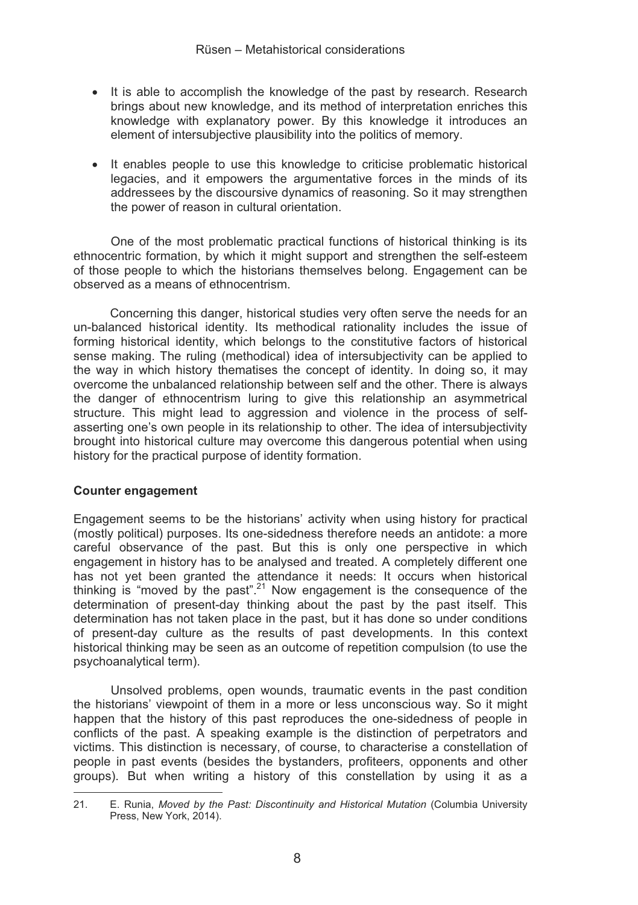- It is able to accomplish the knowledge of the past by research. Research brings about new knowledge, and its method of interpretation enriches this knowledge with explanatory power. By this knowledge it introduces an element of intersubjective plausibility into the politics of memory.
- It enables people to use this knowledge to criticise problematic historical legacies, and it empowers the argumentative forces in the minds of its addressees by the discoursive dynamics of reasoning. So it may strengthen the power of reason in cultural orientation.

One of the most problematic practical functions of historical thinking is its ethnocentric formation, by which it might support and strengthen the self-esteem of those people to which the historians themselves belong. Engagement can be observed as a means of ethnocentrism.

Concerning this danger, historical studies very often serve the needs for an un-balanced historical identity. Its methodical rationality includes the issue of forming historical identity, which belongs to the constitutive factors of historical sense making. The ruling (methodical) idea of intersubjectivity can be applied to the way in which history thematises the concept of identity. In doing so, it may overcome the unbalanced relationship between self and the other. There is always the danger of ethnocentrism luring to give this relationship an asymmetrical structure. This might lead to aggression and violence in the process of selfasserting one's own people in its relationship to other. The idea of intersubjectivity brought into historical culture may overcome this dangerous potential when using history for the practical purpose of identity formation.

#### **Counter engagement**

------------------------------------------------

Engagement seems to be the historians' activity when using history for practical (mostly political) purposes. Its one-sidedness therefore needs an antidote: a more careful observance of the past. But this is only one perspective in which engagement in history has to be analysed and treated. A completely different one has not yet been granted the attendance it needs: It occurs when historical thinking is "moved by the past".<sup>21</sup> Now engagement is the consequence of the determination of present-day thinking about the past by the past itself. This determination has not taken place in the past, but it has done so under conditions of present-day culture as the results of past developments. In this context historical thinking may be seen as an outcome of repetition compulsion (to use the psychoanalytical term).

Unsolved problems, open wounds, traumatic events in the past condition the historians' viewpoint of them in a more or less unconscious way. So it might happen that the history of this past reproduces the one-sidedness of people in conflicts of the past. A speaking example is the distinction of perpetrators and victims. This distinction is necessary, of course, to characterise a constellation of people in past events (besides the bystanders, profiteers, opponents and other groups). But when writing a history of this constellation by using it as a

<sup>21.</sup> E. Runia, *Moved by the Past: Discontinuity and Historical Mutation* (Columbia University Press, New York, 2014).